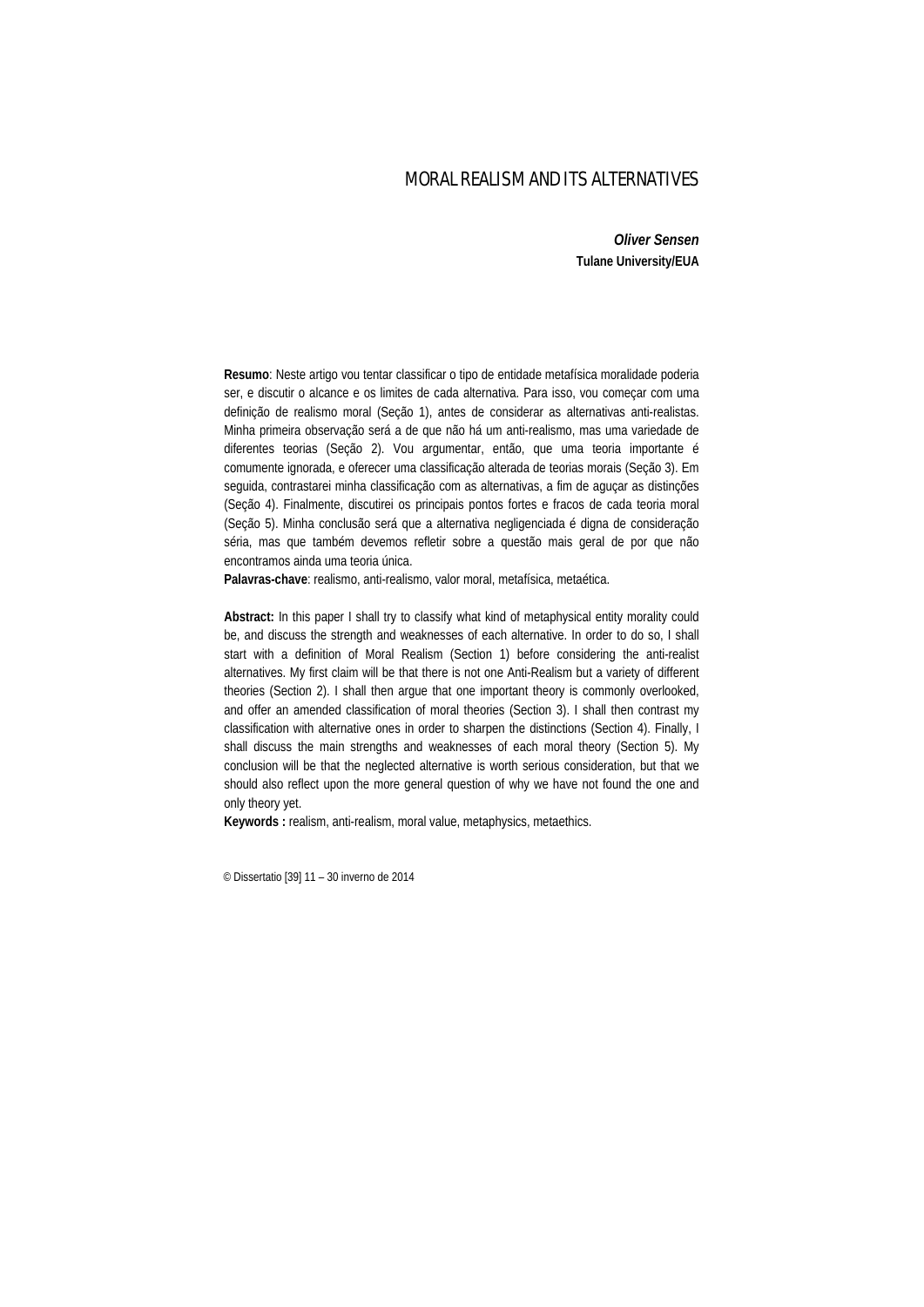# MORAL REALISM AND ITS ALTERNATIVES

*Oliver Sensen*  **Tulane University/EUA**

**Resumo**: Neste artigo vou tentar classificar o tipo de entidade metafísica moralidade poderia ser, e discutir o alcance e os limites de cada alternativa. Para isso, vou começar com uma definição de realismo moral (Seção 1), antes de considerar as alternativas anti-realistas. Minha primeira observação será a de que não há um anti-realismo, mas uma variedade de diferentes teorias (Seção 2). Vou argumentar, então, que uma teoria importante é comumente ignorada, e oferecer uma classificação alterada de teorias morais (Seção 3). Em seguida, contrastarei minha classificação com as alternativas, a fim de aguçar as distinções (Seção 4). Finalmente, discutirei os principais pontos fortes e fracos de cada teoria moral (Seção 5). Minha conclusão será que a alternativa negligenciada é digna de consideração séria, mas que também devemos refletir sobre a questão mais geral de por que não encontramos ainda uma teoria única.

**Palavras-chave**: realismo, anti-realismo, valor moral, metafísica, metaética.

**Abstract:** In this paper I shall try to classify what kind of metaphysical entity morality could be, and discuss the strength and weaknesses of each alternative. In order to do so, I shall start with a definition of Moral Realism (Section 1) before considering the anti-realist alternatives. My first claim will be that there is not one Anti-Realism but a variety of different theories (Section 2). I shall then argue that one important theory is commonly overlooked, and offer an amended classification of moral theories (Section 3). I shall then contrast my classification with alternative ones in order to sharpen the distinctions (Section 4). Finally, I shall discuss the main strengths and weaknesses of each moral theory (Section 5). My conclusion will be that the neglected alternative is worth serious consideration, but that we should also reflect upon the more general question of why we have not found the one and only theory yet.

**Keywords :** realism, anti-realism, moral value, metaphysics, metaethics.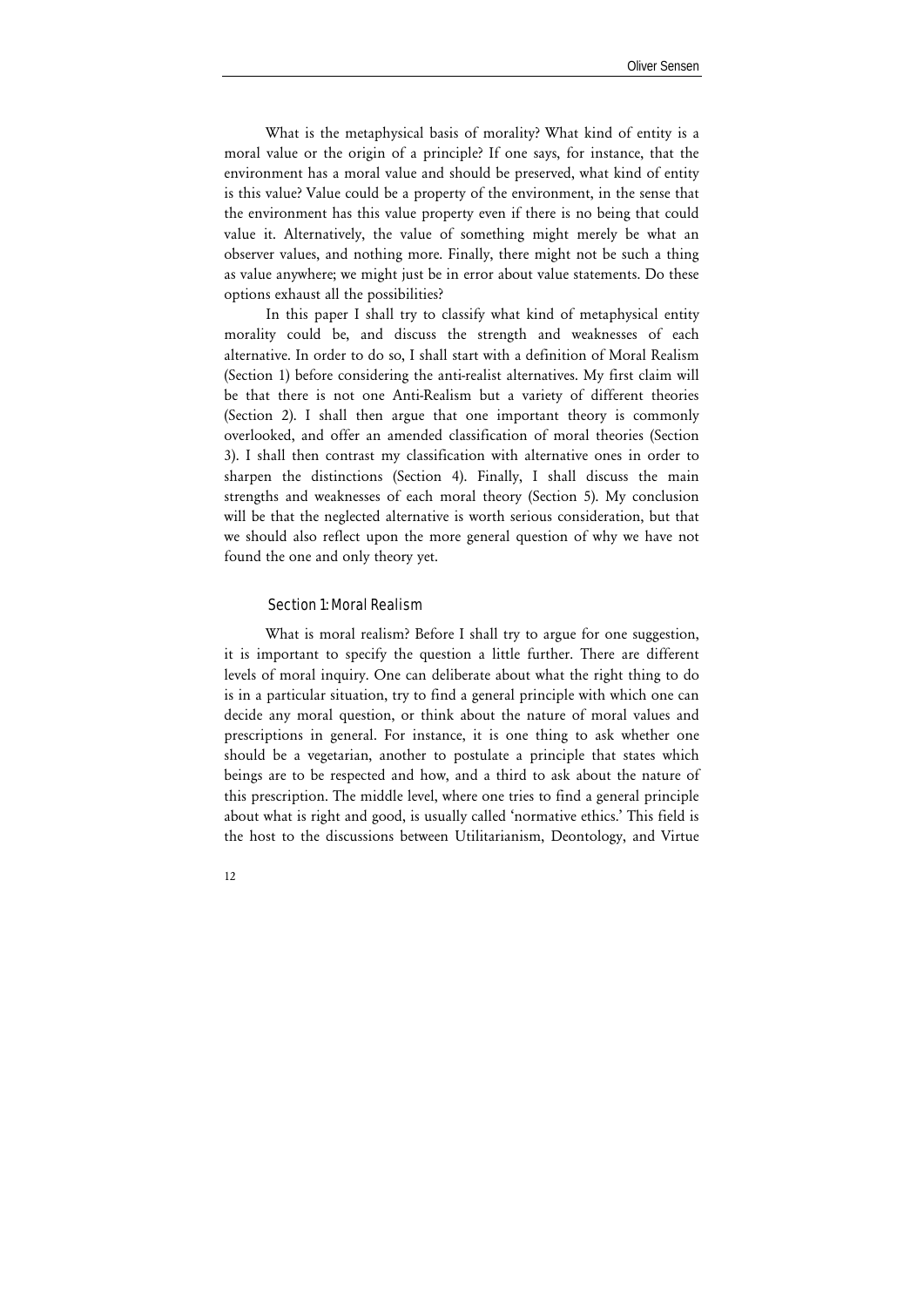What is the metaphysical basis of morality? What kind of entity is a moral value or the origin of a principle? If one says, for instance, that the environment has a moral value and should be preserved, what kind of entity is this value? Value could be a property of the environment, in the sense that the environment has this value property even if there is no being that could value it. Alternatively, the value of something might merely be what an observer values, and nothing more. Finally, there might not be such a thing as value anywhere; we might just be in error about value statements. Do these options exhaust all the possibilities?

In this paper I shall try to classify what kind of metaphysical entity morality could be, and discuss the strength and weaknesses of each alternative. In order to do so, I shall start with a definition of Moral Realism (Section 1) before considering the anti-realist alternatives. My first claim will be that there is not one Anti-Realism but a variety of different theories (Section 2). I shall then argue that one important theory is commonly overlooked, and offer an amended classification of moral theories (Section 3). I shall then contrast my classification with alternative ones in order to sharpen the distinctions (Section 4). Finally, I shall discuss the main strengths and weaknesses of each moral theory (Section 5). My conclusion will be that the neglected alternative is worth serious consideration, but that we should also reflect upon the more general question of why we have not found the one and only theory yet.

#### Section 1: Moral Realism

What is moral realism? Before I shall try to argue for one suggestion, it is important to specify the question a little further. There are different levels of moral inquiry. One can deliberate about what the right thing to do is in a particular situation, try to find a general principle with which one can decide any moral question, or think about the nature of moral values and prescriptions in general. For instance, it is one thing to ask whether one should be a vegetarian, another to postulate a principle that states which beings are to be respected and how, and a third to ask about the nature of this prescription. The middle level, where one tries to find a general principle about what is right and good, is usually called 'normative ethics.' This field is the host to the discussions between Utilitarianism, Deontology, and Virtue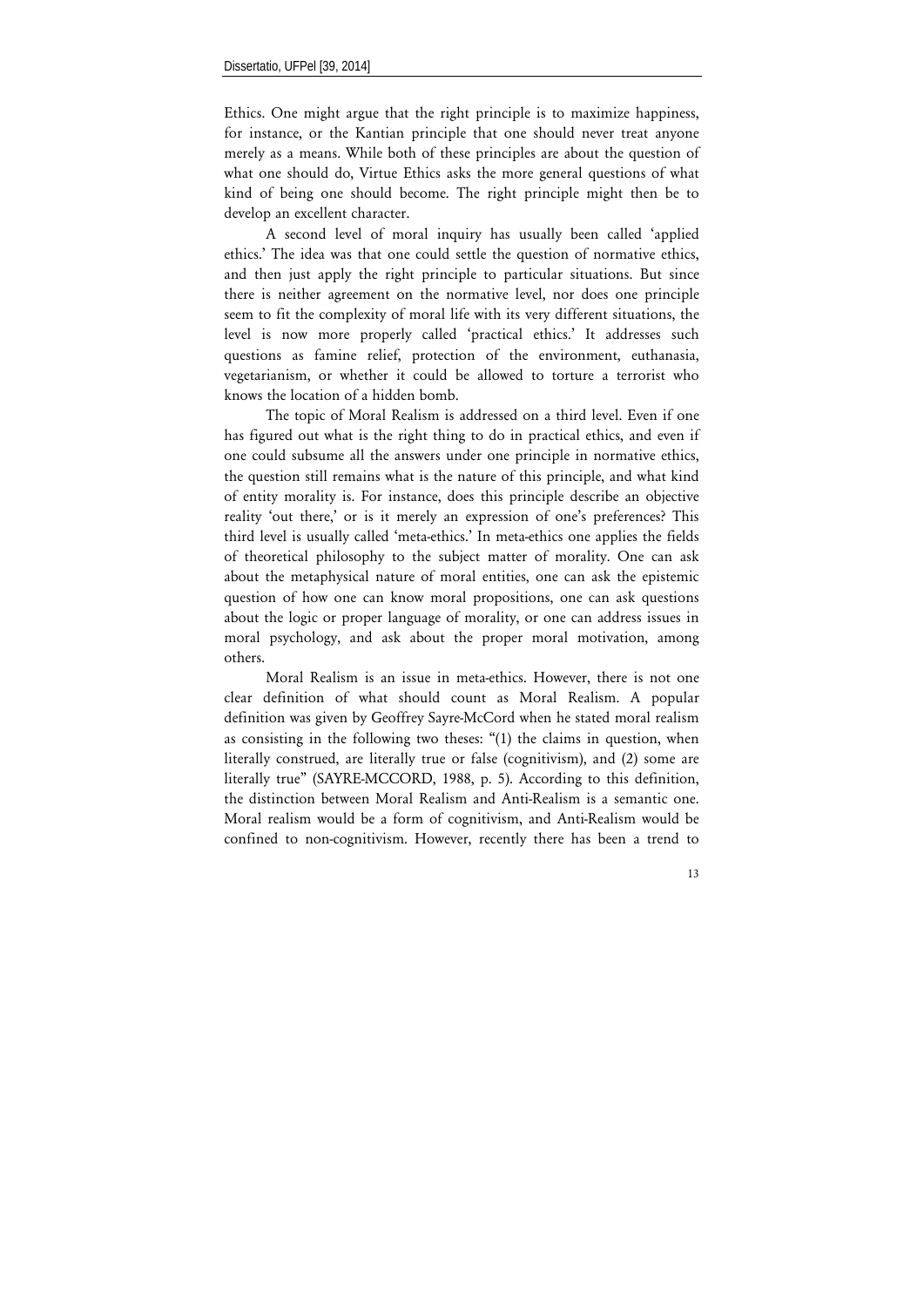Ethics. One might argue that the right principle is to maximize happiness, for instance, or the Kantian principle that one should never treat anyone merely as a means. While both of these principles are about the question of what one should do, Virtue Ethics asks the more general questions of what kind of being one should become. The right principle might then be to develop an excellent character.

A second level of moral inquiry has usually been called 'applied ethics.' The idea was that one could settle the question of normative ethics, and then just apply the right principle to particular situations. But since there is neither agreement on the normative level, nor does one principle seem to fit the complexity of moral life with its very different situations, the level is now more properly called 'practical ethics.' It addresses such questions as famine relief, protection of the environment, euthanasia, vegetarianism, or whether it could be allowed to torture a terrorist who knows the location of a hidden bomb.

The topic of Moral Realism is addressed on a third level. Even if one has figured out what is the right thing to do in practical ethics, and even if one could subsume all the answers under one principle in normative ethics, the question still remains what is the nature of this principle, and what kind of entity morality is. For instance, does this principle describe an objective reality 'out there,' or is it merely an expression of one's preferences? This third level is usually called 'meta-ethics.' In meta-ethics one applies the fields of theoretical philosophy to the subject matter of morality. One can ask about the metaphysical nature of moral entities, one can ask the epistemic question of how one can know moral propositions, one can ask questions about the logic or proper language of morality, or one can address issues in moral psychology, and ask about the proper moral motivation, among others.

Moral Realism is an issue in meta-ethics. However, there is not one clear definition of what should count as Moral Realism. A popular definition was given by Geoffrey Sayre-McCord when he stated moral realism as consisting in the following two theses: "(1) the claims in question, when literally construed, are literally true or false (cognitivism), and (2) some are literally true" (SAYRE-MCCORD, 1988, p. 5). According to this definition, the distinction between Moral Realism and Anti-Realism is a semantic one. Moral realism would be a form of cognitivism, and Anti-Realism would be confined to non-cognitivism. However, recently there has been a trend to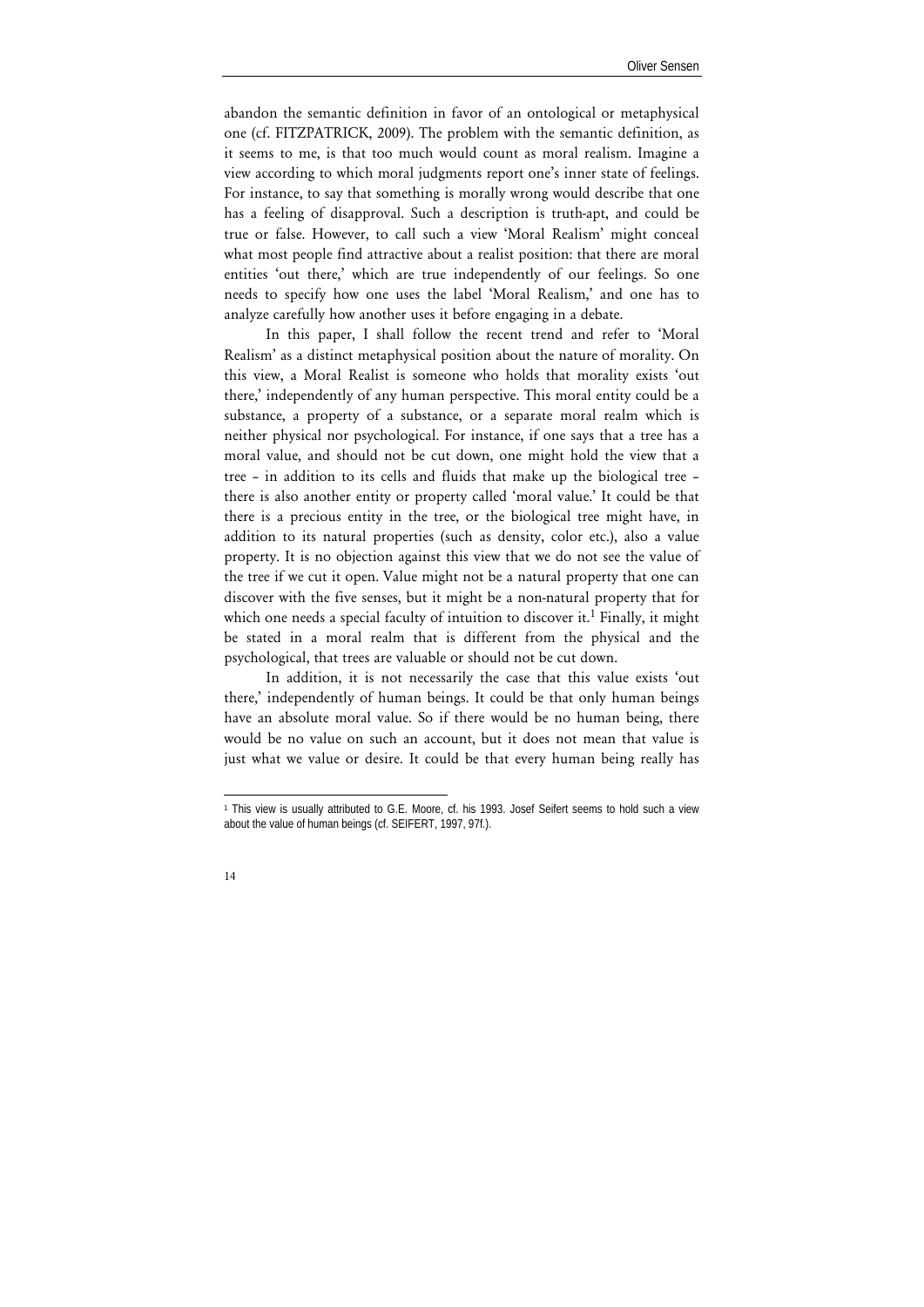abandon the semantic definition in favor of an ontological or metaphysical one (cf. FITZPATRICK, 2009). The problem with the semantic definition, as it seems to me, is that too much would count as moral realism. Imagine a view according to which moral judgments report one's inner state of feelings. For instance, to say that something is morally wrong would describe that one has a feeling of disapproval. Such a description is truth-apt, and could be true or false. However, to call such a view 'Moral Realism' might conceal what most people find attractive about a realist position: that there are moral entities 'out there,' which are true independently of our feelings. So one needs to specify how one uses the label 'Moral Realism,' and one has to analyze carefully how another uses it before engaging in a debate.

In this paper, I shall follow the recent trend and refer to 'Moral Realism' as a distinct metaphysical position about the nature of morality. On this view, a Moral Realist is someone who holds that morality exists 'out there,' independently of any human perspective. This moral entity could be a substance, a property of a substance, or a separate moral realm which is neither physical nor psychological. For instance, if one says that a tree has a moral value, and should not be cut down, one might hold the view that a tree – in addition to its cells and fluids that make up the biological tree – there is also another entity or property called 'moral value.' It could be that there is a precious entity in the tree, or the biological tree might have, in addition to its natural properties (such as density, color etc.), also a value property. It is no objection against this view that we do not see the value of the tree if we cut it open. Value might not be a natural property that one can discover with the five senses, but it might be a non-natural property that for which one needs a special faculty of intuition to discover it.<sup>1</sup> Finally, it might be stated in a moral realm that is different from the physical and the psychological, that trees are valuable or should not be cut down.

In addition, it is not necessarily the case that this value exists 'out there,' independently of human beings. It could be that only human beings have an absolute moral value. So if there would be no human being, there would be no value on such an account, but it does not mean that value is just what we value or desire. It could be that every human being really has

l 1 This view is usually attributed to G.E. Moore, cf. his 1993. Josef Seifert seems to hold such a view about the value of human beings (cf. SEIFERT, 1997, 97f.).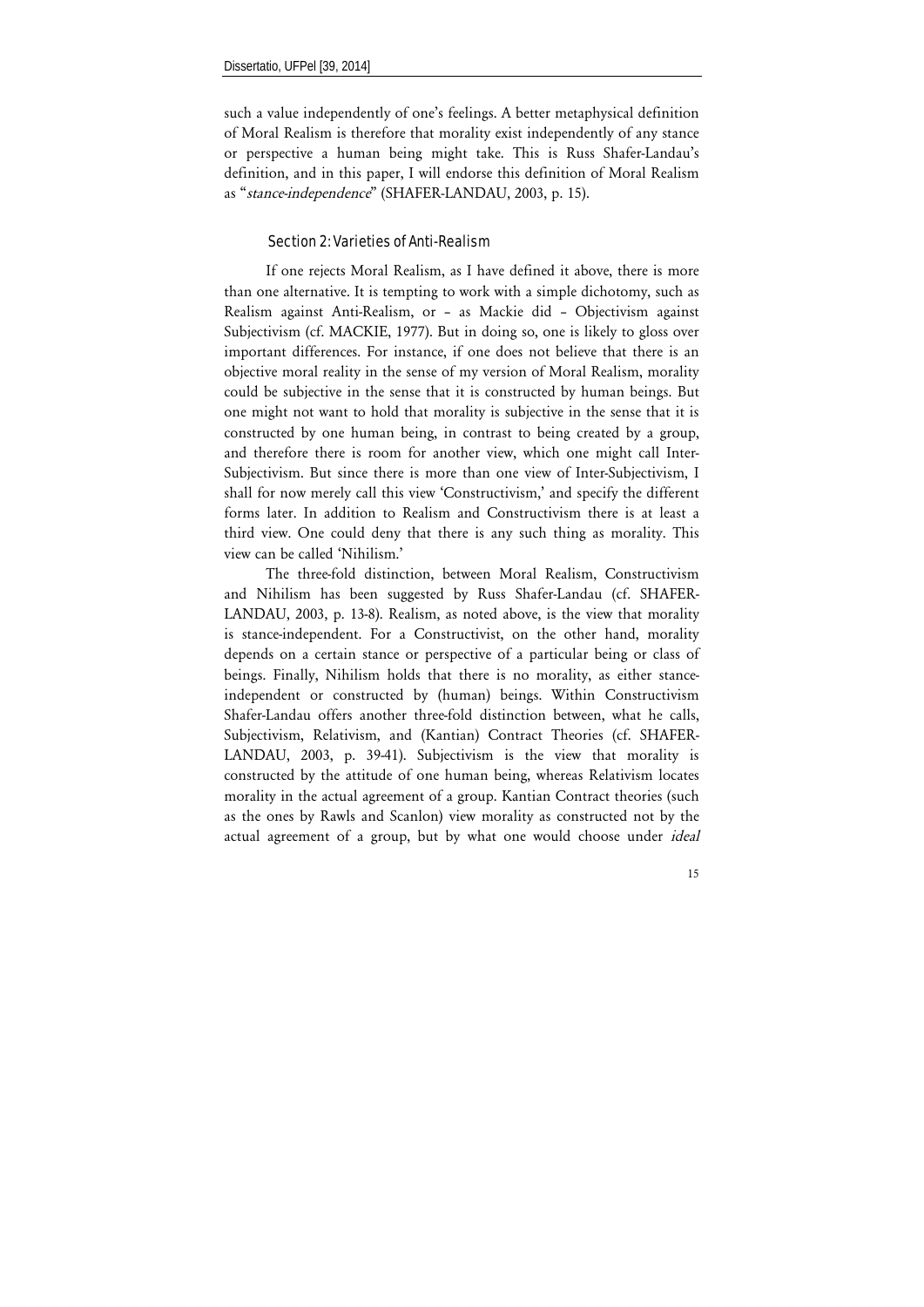such a value independently of one's feelings. A better metaphysical definition of Moral Realism is therefore that morality exist independently of any stance or perspective a human being might take. This is Russ Shafer-Landau's definition, and in this paper, I will endorse this definition of Moral Realism as "*stance-independence*" (SHAFER-LANDAU, 2003, p. 15).

## Section 2: Varieties of Anti-Realism

If one rejects Moral Realism, as I have defined it above, there is more than one alternative. It is tempting to work with a simple dichotomy, such as Realism against Anti-Realism, or – as Mackie did – Objectivism against Subjectivism (cf. MACKIE, 1977). But in doing so, one is likely to gloss over important differences. For instance, if one does not believe that there is an objective moral reality in the sense of my version of Moral Realism, morality could be subjective in the sense that it is constructed by human beings. But one might not want to hold that morality is subjective in the sense that it is constructed by one human being, in contrast to being created by a group, and therefore there is room for another view, which one might call Inter-Subjectivism. But since there is more than one view of Inter-Subjectivism, I shall for now merely call this view 'Constructivism,' and specify the different forms later. In addition to Realism and Constructivism there is at least a third view. One could deny that there is any such thing as morality. This view can be called 'Nihilism.'

The three-fold distinction, between Moral Realism, Constructivism and Nihilism has been suggested by Russ Shafer-Landau (cf. SHAFER-LANDAU, 2003, p. 13-8). Realism, as noted above, is the view that morality is stance-independent. For a Constructivist, on the other hand, morality depends on a certain stance or perspective of a particular being or class of beings. Finally, Nihilism holds that there is no morality, as either stanceindependent or constructed by (human) beings. Within Constructivism Shafer-Landau offers another three-fold distinction between, what he calls, Subjectivism, Relativism, and (Kantian) Contract Theories (cf. SHAFER-LANDAU, 2003, p. 39-41). Subjectivism is the view that morality is constructed by the attitude of one human being, whereas Relativism locates morality in the actual agreement of a group. Kantian Contract theories (such as the ones by Rawls and Scanlon) view morality as constructed not by the actual agreement of a group, but by what one would choose under *ideal*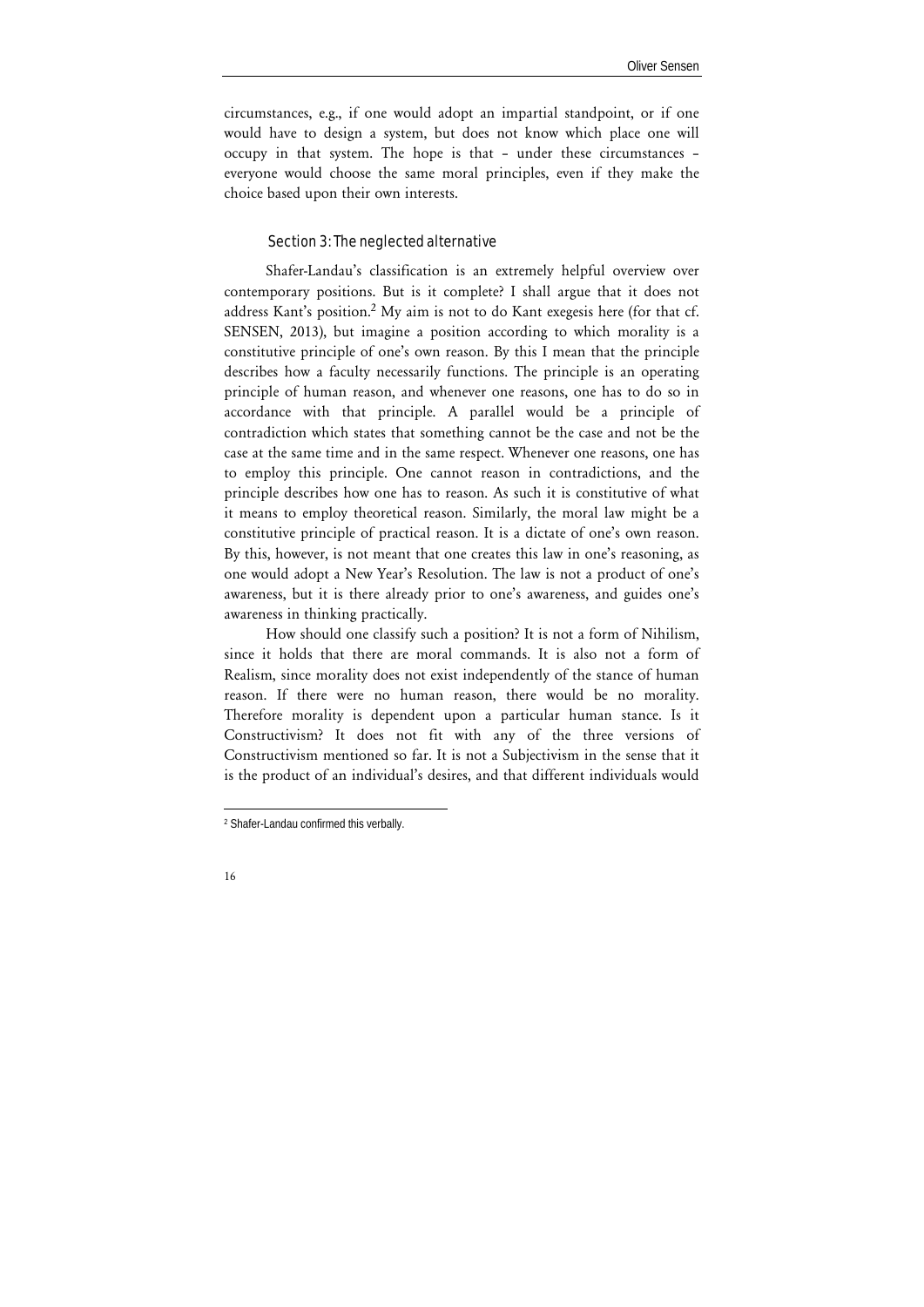circumstances, e.g., if one would adopt an impartial standpoint, or if one would have to design a system, but does not know which place one will occupy in that system. The hope is that – under these circumstances – everyone would choose the same moral principles, even if they make the choice based upon their own interests.

## Section 3: The neglected alternative

Shafer-Landau's classification is an extremely helpful overview over contemporary positions. But is it complete? I shall argue that it does not address Kant's position.<sup>2</sup> My aim is not to do Kant exegesis here (for that cf. SENSEN, 2013), but imagine a position according to which morality is a constitutive principle of one's own reason. By this I mean that the principle describes how a faculty necessarily functions. The principle is an operating principle of human reason, and whenever one reasons, one has to do so in accordance with that principle. A parallel would be a principle of contradiction which states that something cannot be the case and not be the case at the same time and in the same respect. Whenever one reasons, one has to employ this principle. One cannot reason in contradictions, and the principle describes how one has to reason. As such it is constitutive of what it means to employ theoretical reason. Similarly, the moral law might be a constitutive principle of practical reason. It is a dictate of one's own reason. By this, however, is not meant that one creates this law in one's reasoning, as one would adopt a New Year's Resolution. The law is not a product of one's awareness, but it is there already prior to one's awareness, and guides one's awareness in thinking practically.

How should one classify such a position? It is not a form of Nihilism, since it holds that there are moral commands. It is also not a form of Realism, since morality does not exist independently of the stance of human reason. If there were no human reason, there would be no morality. Therefore morality is dependent upon a particular human stance. Is it Constructivism? It does not fit with any of the three versions of Constructivism mentioned so far. It is not a Subjectivism in the sense that it is the product of an individual's desires, and that different individuals would

-

<sup>2</sup> Shafer-Landau confirmed this verbally.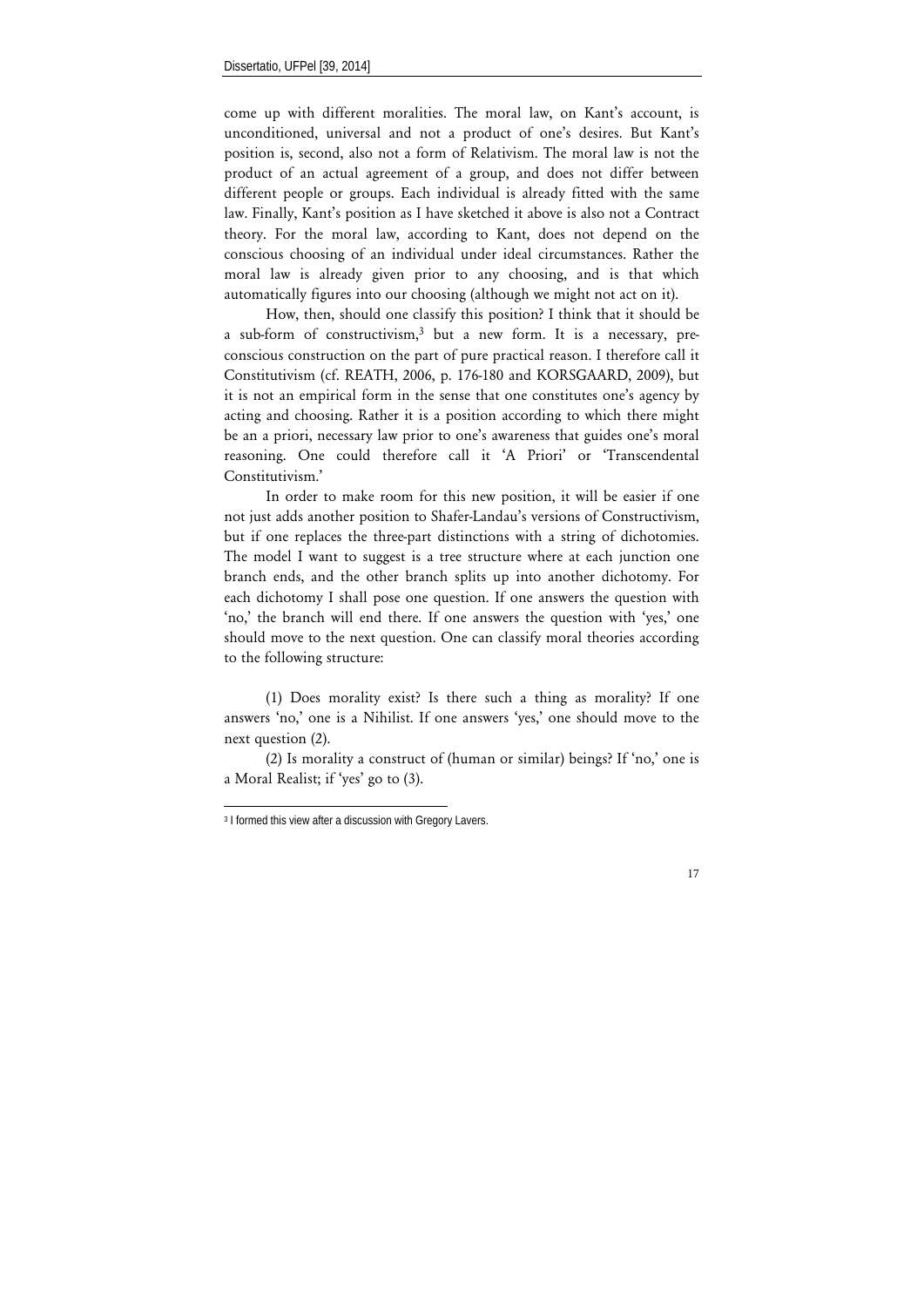come up with different moralities. The moral law, on Kant's account, is unconditioned, universal and not a product of one's desires. But Kant's position is, second, also not a form of Relativism. The moral law is not the product of an actual agreement of a group, and does not differ between different people or groups. Each individual is already fitted with the same law. Finally, Kant's position as I have sketched it above is also not a Contract theory. For the moral law, according to Kant, does not depend on the conscious choosing of an individual under ideal circumstances. Rather the moral law is already given prior to any choosing, and is that which automatically figures into our choosing (although we might not act on it).

How, then, should one classify this position? I think that it should be a sub-form of constructivism,3 but a new form. It is a necessary, preconscious construction on the part of pure practical reason. I therefore call it Constitutivism (cf. REATH, 2006, p. 176-180 and KORSGAARD, 2009), but it is not an empirical form in the sense that one constitutes one's agency by acting and choosing. Rather it is a position according to which there might be an a priori, necessary law prior to one's awareness that guides one's moral reasoning. One could therefore call it 'A Priori' or 'Transcendental Constitutivism<sup>'</sup>

In order to make room for this new position, it will be easier if one not just adds another position to Shafer-Landau's versions of Constructivism, but if one replaces the three-part distinctions with a string of dichotomies. The model I want to suggest is a tree structure where at each junction one branch ends, and the other branch splits up into another dichotomy. For each dichotomy I shall pose one question. If one answers the question with 'no,' the branch will end there. If one answers the question with 'yes,' one should move to the next question. One can classify moral theories according to the following structure:

(1) Does morality exist? Is there such a thing as morality? If one answers 'no,' one is a Nihilist. If one answers 'yes,' one should move to the next question (2).

(2) Is morality a construct of (human or similar) beings? If 'no,' one is a Moral Realist; if 'yes' go to (3).

-

<sup>&</sup>lt;sup>3</sup> I formed this view after a discussion with Gregory Lavers.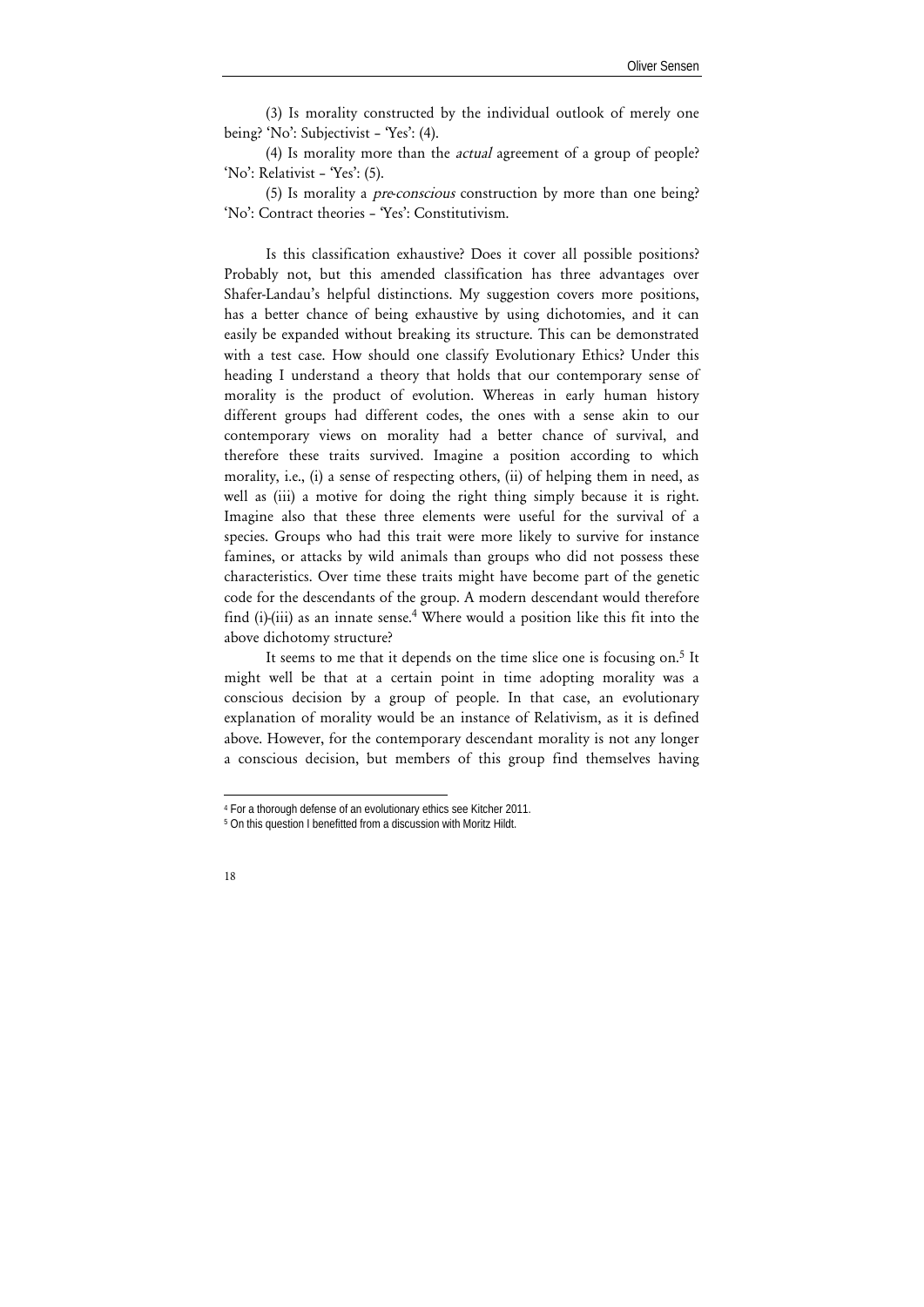(3) Is morality constructed by the individual outlook of merely one being? 'No': Subjectivist – 'Yes': (4).

(4) Is morality more than the *actual* agreement of a group of people? 'No': Relativist – 'Yes': (5).

(5) Is morality a *pre*-*conscious* construction by more than one being? 'No': Contract theories – 'Yes': Constitutivism.

Is this classification exhaustive? Does it cover all possible positions? Probably not, but this amended classification has three advantages over Shafer-Landau's helpful distinctions. My suggestion covers more positions, has a better chance of being exhaustive by using dichotomies, and it can easily be expanded without breaking its structure. This can be demonstrated with a test case. How should one classify Evolutionary Ethics? Under this heading I understand a theory that holds that our contemporary sense of morality is the product of evolution. Whereas in early human history different groups had different codes, the ones with a sense akin to our contemporary views on morality had a better chance of survival, and therefore these traits survived. Imagine a position according to which morality, i.e., (i) a sense of respecting others, (ii) of helping them in need, as well as (iii) a motive for doing the right thing simply because it is right. Imagine also that these three elements were useful for the survival of a species. Groups who had this trait were more likely to survive for instance famines, or attacks by wild animals than groups who did not possess these characteristics. Over time these traits might have become part of the genetic code for the descendants of the group. A modern descendant would therefore find (i)-(iii) as an innate sense.<sup>4</sup> Where would a position like this fit into the above dichotomy structure?

It seems to me that it depends on the time slice one is focusing on.<sup>5</sup> It might well be that at a certain point in time adopting morality was a conscious decision by a group of people. In that case, an evolutionary explanation of morality would be an instance of Relativism, as it is defined above. However, for the contemporary descendant morality is not any longer a conscious decision, but members of this group find themselves having

l

<sup>&</sup>lt;sup>4</sup> For a thorough defense of an evolutionary ethics see Kitcher 2011.<br><sup>5</sup> On this question I benefitted from a discussion with Moritz Hildt.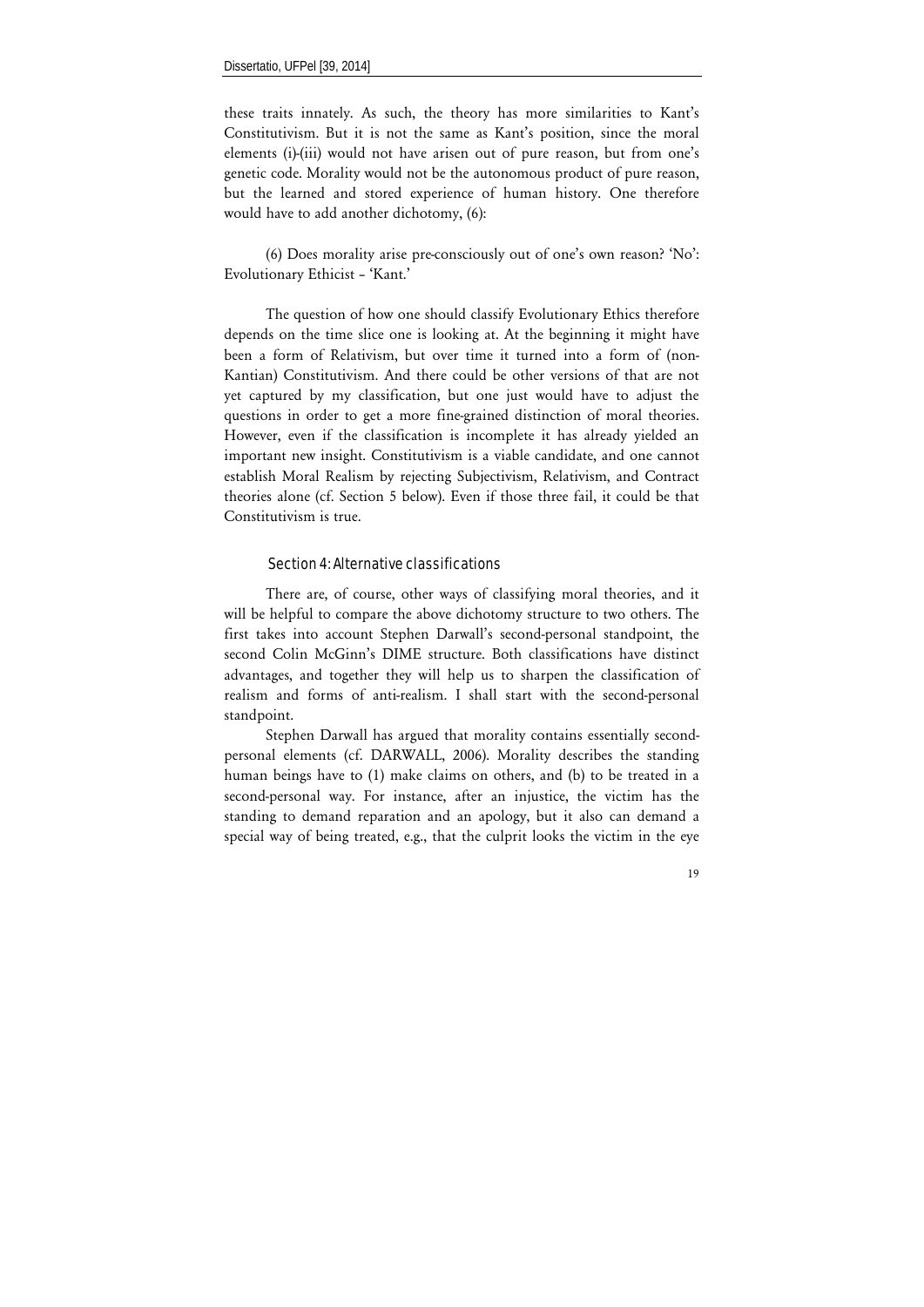these traits innately. As such, the theory has more similarities to Kant's Constitutivism. But it is not the same as Kant's position, since the moral elements (i)-(iii) would not have arisen out of pure reason, but from one's genetic code. Morality would not be the autonomous product of pure reason, but the learned and stored experience of human history. One therefore would have to add another dichotomy, (6):

(6) Does morality arise pre-consciously out of one's own reason? 'No': Evolutionary Ethicist – 'Kant.'

The question of how one should classify Evolutionary Ethics therefore depends on the time slice one is looking at. At the beginning it might have been a form of Relativism, but over time it turned into a form of (non-Kantian) Constitutivism. And there could be other versions of that are not yet captured by my classification, but one just would have to adjust the questions in order to get a more fine-grained distinction of moral theories. However, even if the classification is incomplete it has already yielded an important new insight. Constitutivism is a viable candidate, and one cannot establish Moral Realism by rejecting Subjectivism, Relativism, and Contract theories alone (cf. Section 5 below). Even if those three fail, it could be that Constitutivism is true.

#### Section 4: Alternative classifications

There are, of course, other ways of classifying moral theories, and it will be helpful to compare the above dichotomy structure to two others. The first takes into account Stephen Darwall's second-personal standpoint, the second Colin McGinn's DIME structure. Both classifications have distinct advantages, and together they will help us to sharpen the classification of realism and forms of anti-realism. I shall start with the second-personal standpoint.

Stephen Darwall has argued that morality contains essentially secondpersonal elements (cf. DARWALL, 2006). Morality describes the standing human beings have to (1) make claims on others, and (b) to be treated in a second-personal way. For instance, after an injustice, the victim has the standing to demand reparation and an apology, but it also can demand a special way of being treated, e.g., that the culprit looks the victim in the eye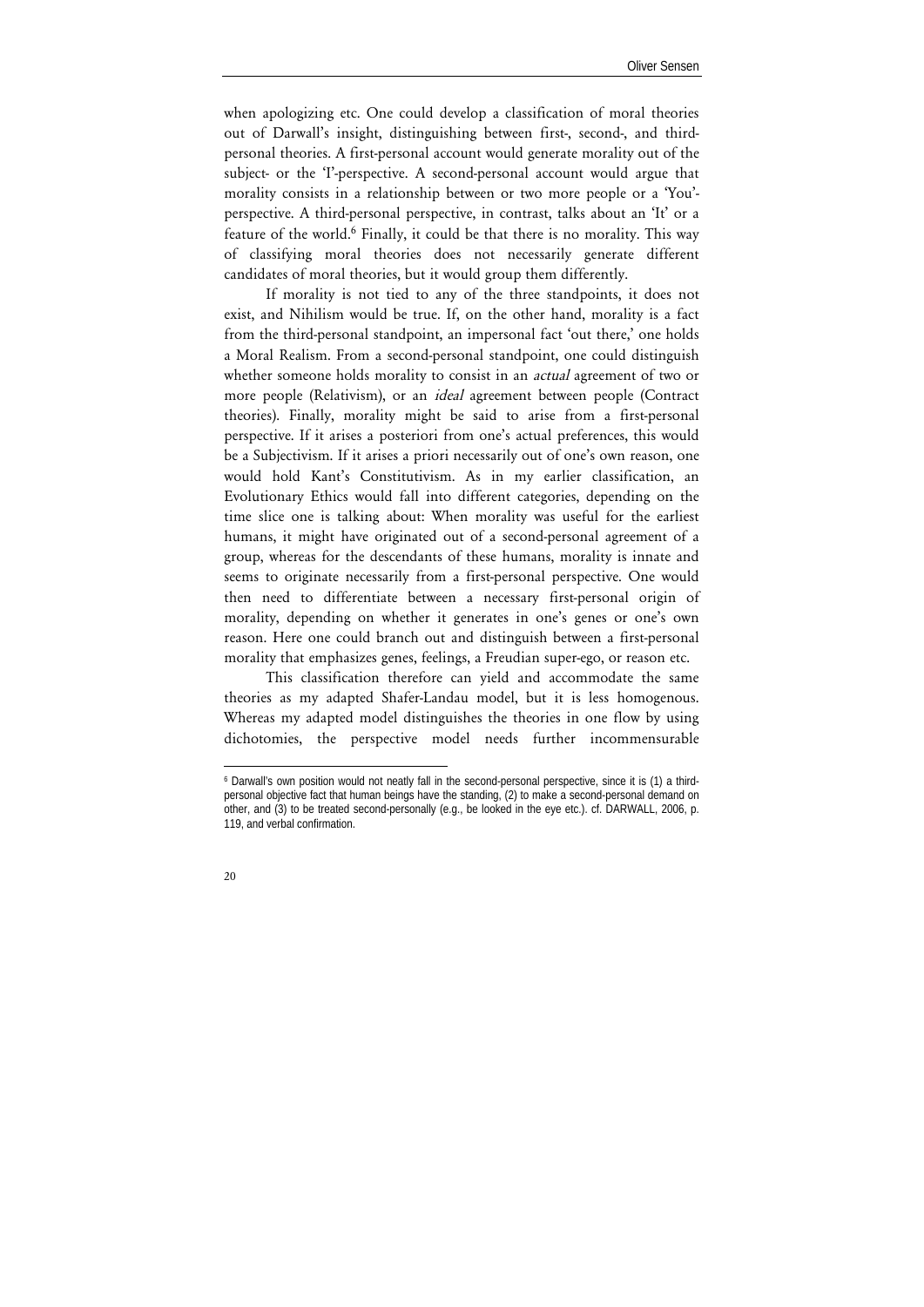when apologizing etc. One could develop a classification of moral theories out of Darwall's insight, distinguishing between first-, second-, and thirdpersonal theories. A first-personal account would generate morality out of the subject- or the 'I'-perspective. A second-personal account would argue that morality consists in a relationship between or two more people or a 'You' perspective. A third-personal perspective, in contrast, talks about an 'It' or a feature of the world.6 Finally, it could be that there is no morality. This way of classifying moral theories does not necessarily generate different candidates of moral theories, but it would group them differently.

If morality is not tied to any of the three standpoints, it does not exist, and Nihilism would be true. If, on the other hand, morality is a fact from the third-personal standpoint, an impersonal fact 'out there,' one holds a Moral Realism. From a second-personal standpoint, one could distinguish whether someone holds morality to consist in an *actual* agreement of two or more people (Relativism), or an *ideal* agreement between people (Contract theories). Finally, morality might be said to arise from a first-personal perspective. If it arises a posteriori from one's actual preferences, this would be a Subjectivism. If it arises a priori necessarily out of one's own reason, one would hold Kant's Constitutivism. As in my earlier classification, an Evolutionary Ethics would fall into different categories, depending on the time slice one is talking about: When morality was useful for the earliest humans, it might have originated out of a second-personal agreement of a group, whereas for the descendants of these humans, morality is innate and seems to originate necessarily from a first-personal perspective. One would then need to differentiate between a necessary first-personal origin of morality, depending on whether it generates in one's genes or one's own reason. Here one could branch out and distinguish between a first-personal morality that emphasizes genes, feelings, a Freudian super-ego, or reason etc.

This classification therefore can yield and accommodate the same theories as my adapted Shafer-Landau model, but it is less homogenous. Whereas my adapted model distinguishes the theories in one flow by using dichotomies, the perspective model needs further incommensurable

l

<sup>6</sup> Darwall's own position would not neatly fall in the second-personal perspective, since it is (1) a thirdpersonal objective fact that human beings have the standing, (2) to make a second-personal demand on other, and (3) to be treated second-personally (e.g., be looked in the eye etc.). cf. DARWALL, 2006, p. 119, and verbal confirmation.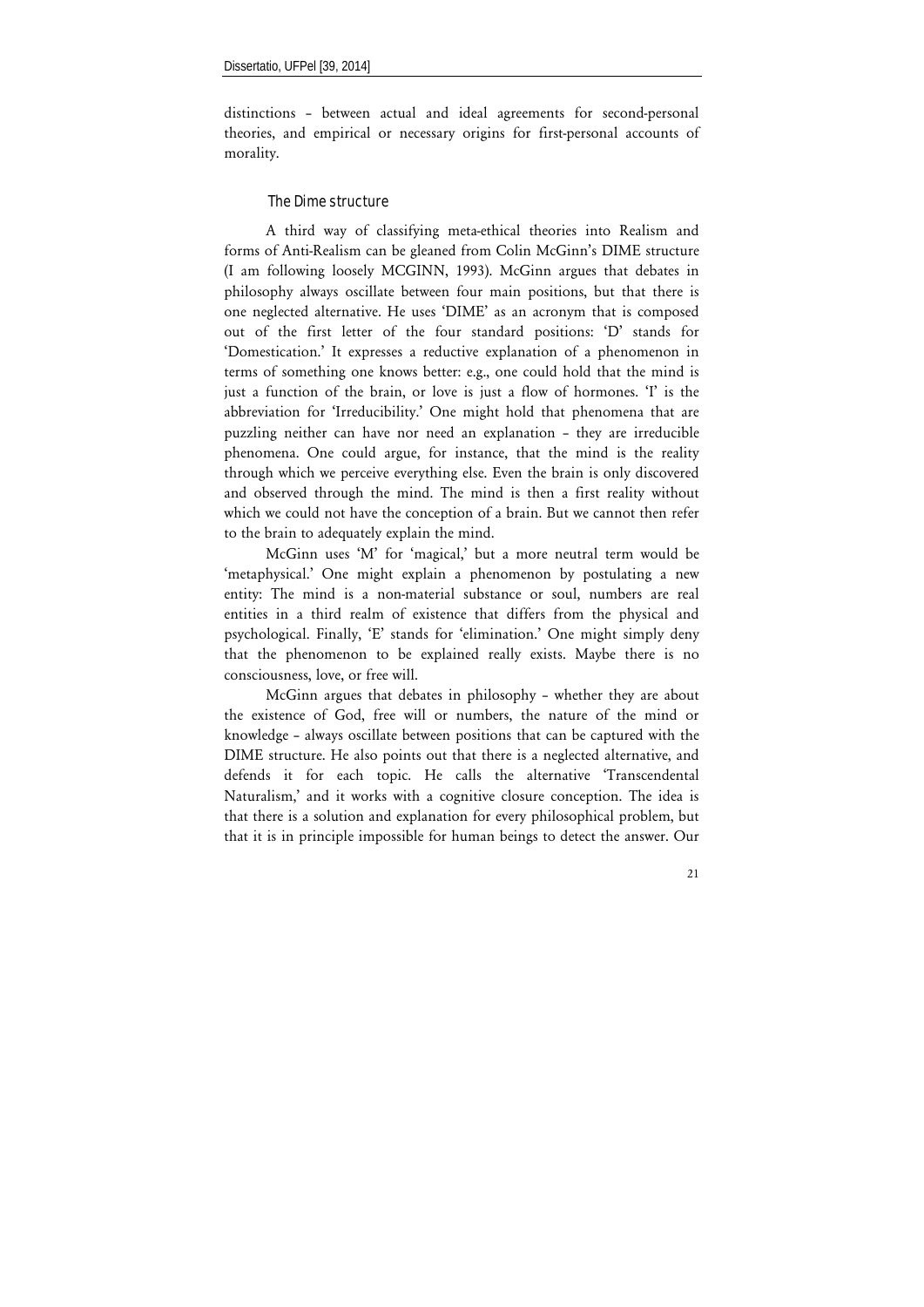distinctions – between actual and ideal agreements for second-personal theories, and empirical or necessary origins for first-personal accounts of morality.

### The Dime structure

A third way of classifying meta-ethical theories into Realism and forms of Anti-Realism can be gleaned from Colin McGinn's DIME structure (I am following loosely MCGINN, 1993). McGinn argues that debates in philosophy always oscillate between four main positions, but that there is one neglected alternative. He uses 'DIME' as an acronym that is composed out of the first letter of the four standard positions: 'D' stands for 'Domestication.' It expresses a reductive explanation of a phenomenon in terms of something one knows better: e.g., one could hold that the mind is just a function of the brain, or love is just a flow of hormones. 'I' is the abbreviation for 'Irreducibility.' One might hold that phenomena that are puzzling neither can have nor need an explanation – they are irreducible phenomena. One could argue, for instance, that the mind is the reality through which we perceive everything else. Even the brain is only discovered and observed through the mind. The mind is then a first reality without which we could not have the conception of a brain. But we cannot then refer to the brain to adequately explain the mind.

McGinn uses 'M' for 'magical,' but a more neutral term would be 'metaphysical.' One might explain a phenomenon by postulating a new entity: The mind is a non-material substance or soul, numbers are real entities in a third realm of existence that differs from the physical and psychological. Finally, 'E' stands for 'elimination.' One might simply deny that the phenomenon to be explained really exists. Maybe there is no consciousness, love, or free will.

McGinn argues that debates in philosophy – whether they are about the existence of God, free will or numbers, the nature of the mind or knowledge – always oscillate between positions that can be captured with the DIME structure. He also points out that there is a neglected alternative, and defends it for each topic. He calls the alternative 'Transcendental Naturalism,' and it works with a cognitive closure conception. The idea is that there is a solution and explanation for every philosophical problem, but that it is in principle impossible for human beings to detect the answer. Our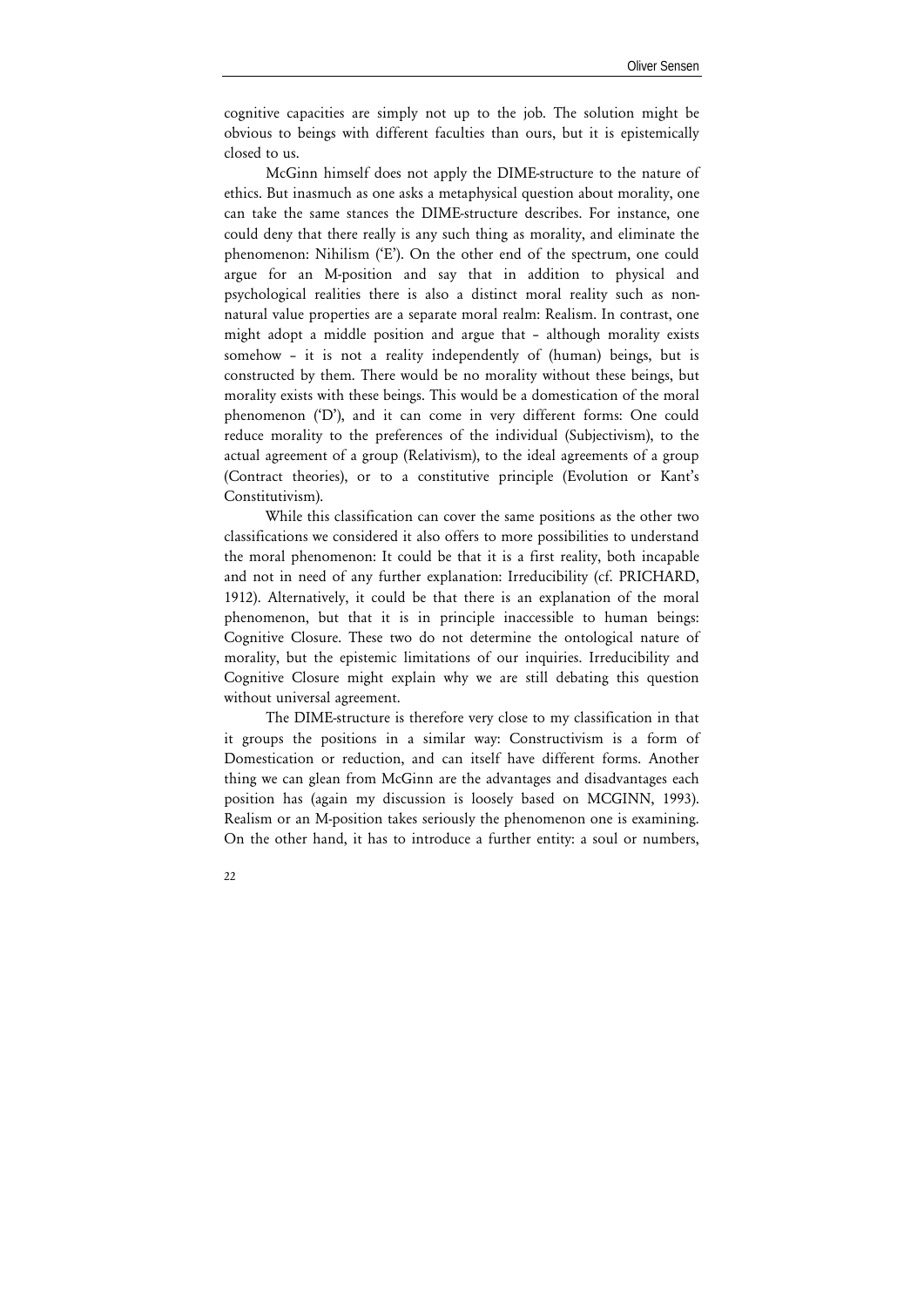cognitive capacities are simply not up to the job. The solution might be obvious to beings with different faculties than ours, but it is epistemically closed to us.

McGinn himself does not apply the DIME-structure to the nature of ethics. But inasmuch as one asks a metaphysical question about morality, one can take the same stances the DIME-structure describes. For instance, one could deny that there really is any such thing as morality, and eliminate the phenomenon: Nihilism ('E'). On the other end of the spectrum, one could argue for an M-position and say that in addition to physical and psychological realities there is also a distinct moral reality such as nonnatural value properties are a separate moral realm: Realism. In contrast, one might adopt a middle position and argue that – although morality exists somehow – it is not a reality independently of (human) beings, but is constructed by them. There would be no morality without these beings, but morality exists with these beings. This would be a domestication of the moral phenomenon ('D'), and it can come in very different forms: One could reduce morality to the preferences of the individual (Subjectivism), to the actual agreement of a group (Relativism), to the ideal agreements of a group (Contract theories), or to a constitutive principle (Evolution or Kant's Constitutivism).

While this classification can cover the same positions as the other two classifications we considered it also offers to more possibilities to understand the moral phenomenon: It could be that it is a first reality, both incapable and not in need of any further explanation: Irreducibility (cf. PRICHARD, 1912). Alternatively, it could be that there is an explanation of the moral phenomenon, but that it is in principle inaccessible to human beings: Cognitive Closure. These two do not determine the ontological nature of morality, but the epistemic limitations of our inquiries. Irreducibility and Cognitive Closure might explain why we are still debating this question without universal agreement.

The DIME-structure is therefore very close to my classification in that it groups the positions in a similar way: Constructivism is a form of Domestication or reduction, and can itself have different forms. Another thing we can glean from McGinn are the advantages and disadvantages each position has (again my discussion is loosely based on MCGINN, 1993). Realism or an M-position takes seriously the phenomenon one is examining. On the other hand, it has to introduce a further entity: a soul or numbers,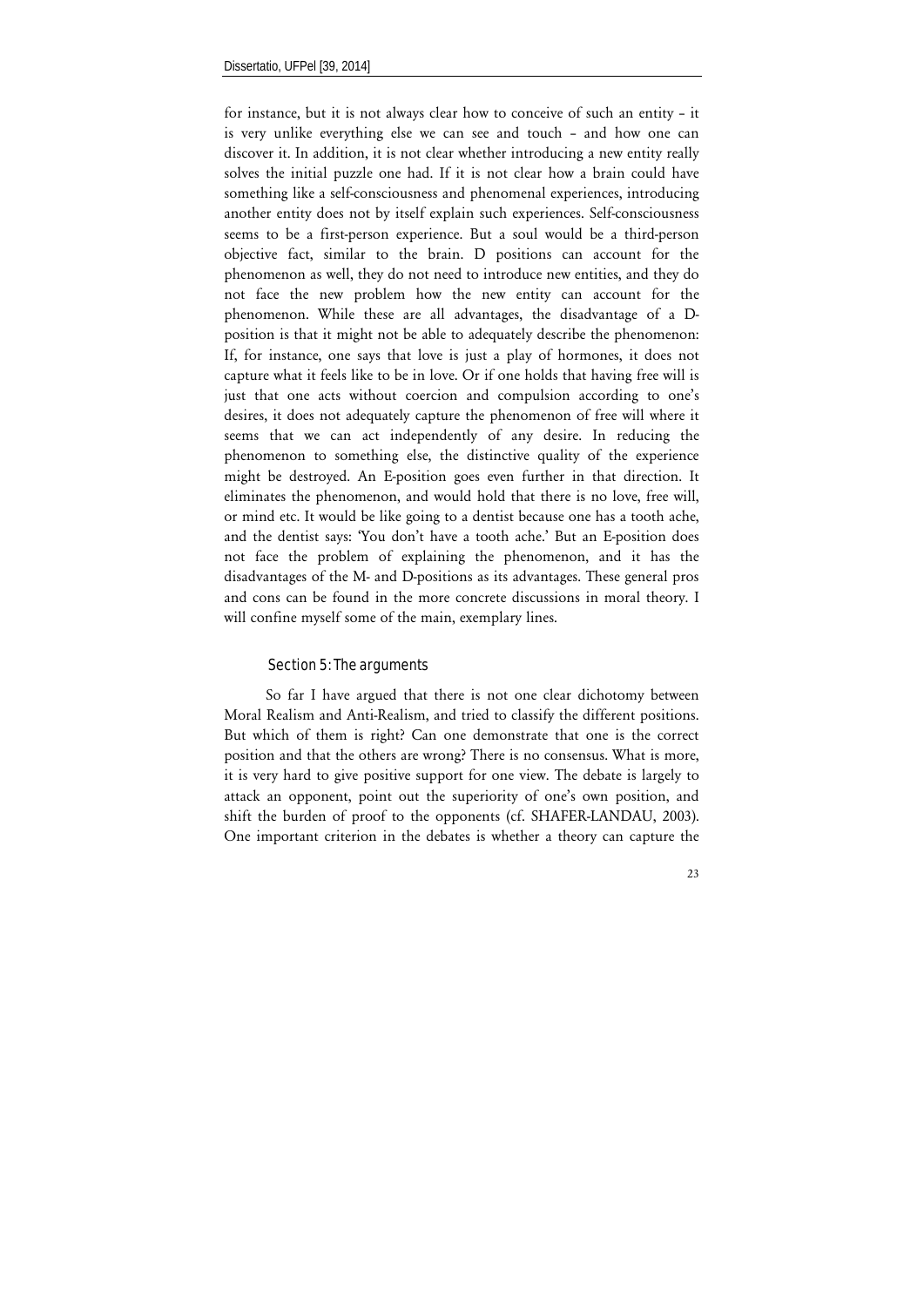for instance, but it is not always clear how to conceive of such an entity – it is very unlike everything else we can see and touch – and how one can discover it. In addition, it is not clear whether introducing a new entity really solves the initial puzzle one had. If it is not clear how a brain could have something like a self-consciousness and phenomenal experiences, introducing another entity does not by itself explain such experiences. Self-consciousness seems to be a first-person experience. But a soul would be a third-person objective fact, similar to the brain. D positions can account for the phenomenon as well, they do not need to introduce new entities, and they do not face the new problem how the new entity can account for the phenomenon. While these are all advantages, the disadvantage of a Dposition is that it might not be able to adequately describe the phenomenon: If, for instance, one says that love is just a play of hormones, it does not capture what it feels like to be in love. Or if one holds that having free will is just that one acts without coercion and compulsion according to one's desires, it does not adequately capture the phenomenon of free will where it seems that we can act independently of any desire. In reducing the phenomenon to something else, the distinctive quality of the experience might be destroyed. An E-position goes even further in that direction. It eliminates the phenomenon, and would hold that there is no love, free will, or mind etc. It would be like going to a dentist because one has a tooth ache, and the dentist says: 'You don't have a tooth ache.' But an E-position does not face the problem of explaining the phenomenon, and it has the disadvantages of the M- and D-positions as its advantages. These general pros and cons can be found in the more concrete discussions in moral theory. I will confine myself some of the main, exemplary lines.

#### Section 5: The arguments

So far I have argued that there is not one clear dichotomy between Moral Realism and Anti-Realism, and tried to classify the different positions. But which of them is right? Can one demonstrate that one is the correct position and that the others are wrong? There is no consensus. What is more, it is very hard to give positive support for one view. The debate is largely to attack an opponent, point out the superiority of one's own position, and shift the burden of proof to the opponents (cf. SHAFER-LANDAU, 2003). One important criterion in the debates is whether a theory can capture the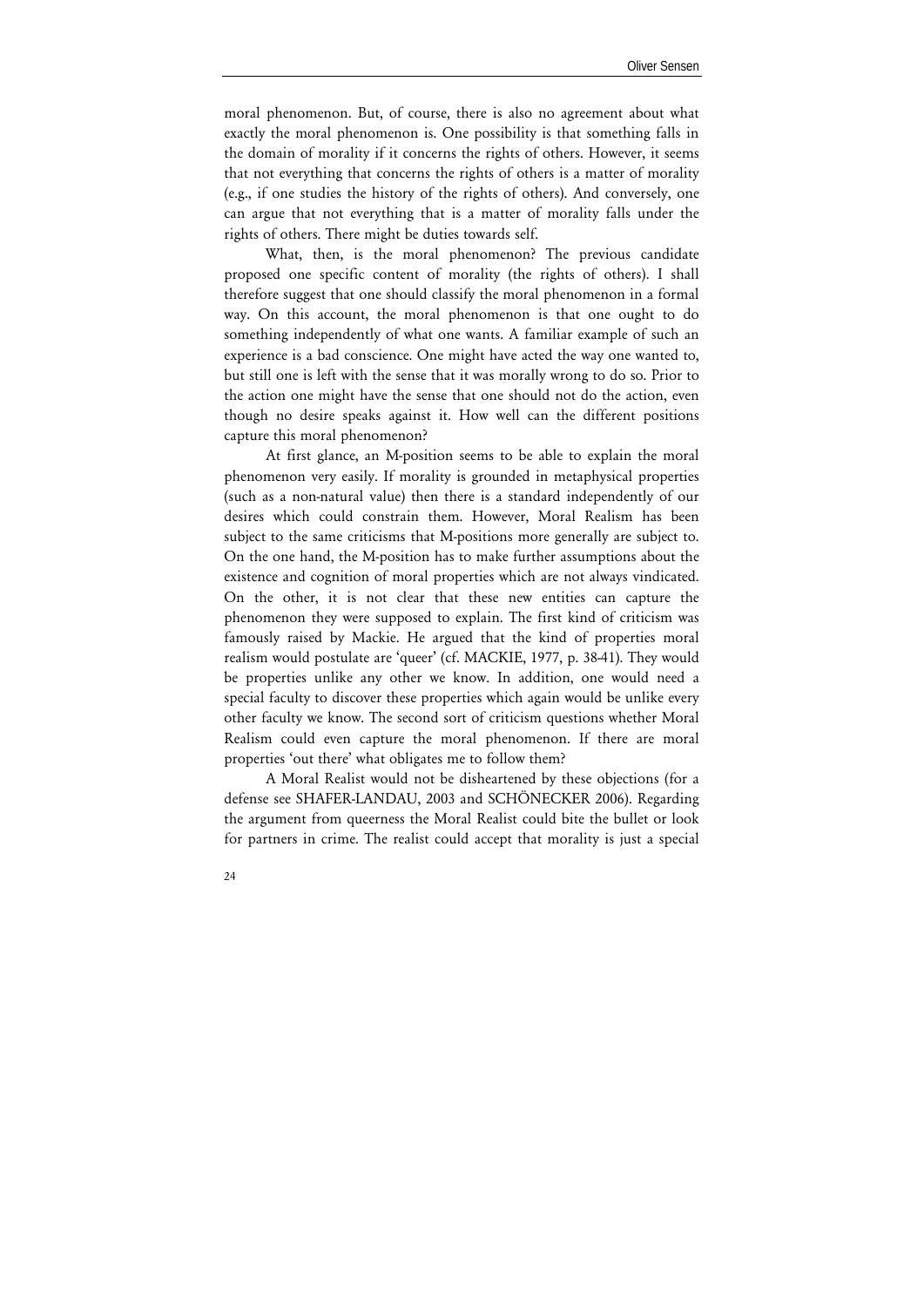moral phenomenon. But, of course, there is also no agreement about what exactly the moral phenomenon is. One possibility is that something falls in the domain of morality if it concerns the rights of others. However, it seems that not everything that concerns the rights of others is a matter of morality (e.g., if one studies the history of the rights of others). And conversely, one can argue that not everything that is a matter of morality falls under the rights of others. There might be duties towards self.

What, then, is the moral phenomenon? The previous candidate proposed one specific content of morality (the rights of others). I shall therefore suggest that one should classify the moral phenomenon in a formal way. On this account, the moral phenomenon is that one ought to do something independently of what one wants. A familiar example of such an experience is a bad conscience. One might have acted the way one wanted to, but still one is left with the sense that it was morally wrong to do so. Prior to the action one might have the sense that one should not do the action, even though no desire speaks against it. How well can the different positions capture this moral phenomenon?

At first glance, an M-position seems to be able to explain the moral phenomenon very easily. If morality is grounded in metaphysical properties (such as a non-natural value) then there is a standard independently of our desires which could constrain them. However, Moral Realism has been subject to the same criticisms that M-positions more generally are subject to. On the one hand, the M-position has to make further assumptions about the existence and cognition of moral properties which are not always vindicated. On the other, it is not clear that these new entities can capture the phenomenon they were supposed to explain. The first kind of criticism was famously raised by Mackie. He argued that the kind of properties moral realism would postulate are 'queer' (cf. MACKIE, 1977, p. 38-41). They would be properties unlike any other we know. In addition, one would need a special faculty to discover these properties which again would be unlike every other faculty we know. The second sort of criticism questions whether Moral Realism could even capture the moral phenomenon. If there are moral properties 'out there' what obligates me to follow them?

A Moral Realist would not be disheartened by these objections (for a defense see SHAFER-LANDAU, 2003 and SCHÖNECKER 2006). Regarding the argument from queerness the Moral Realist could bite the bullet or look for partners in crime. The realist could accept that morality is just a special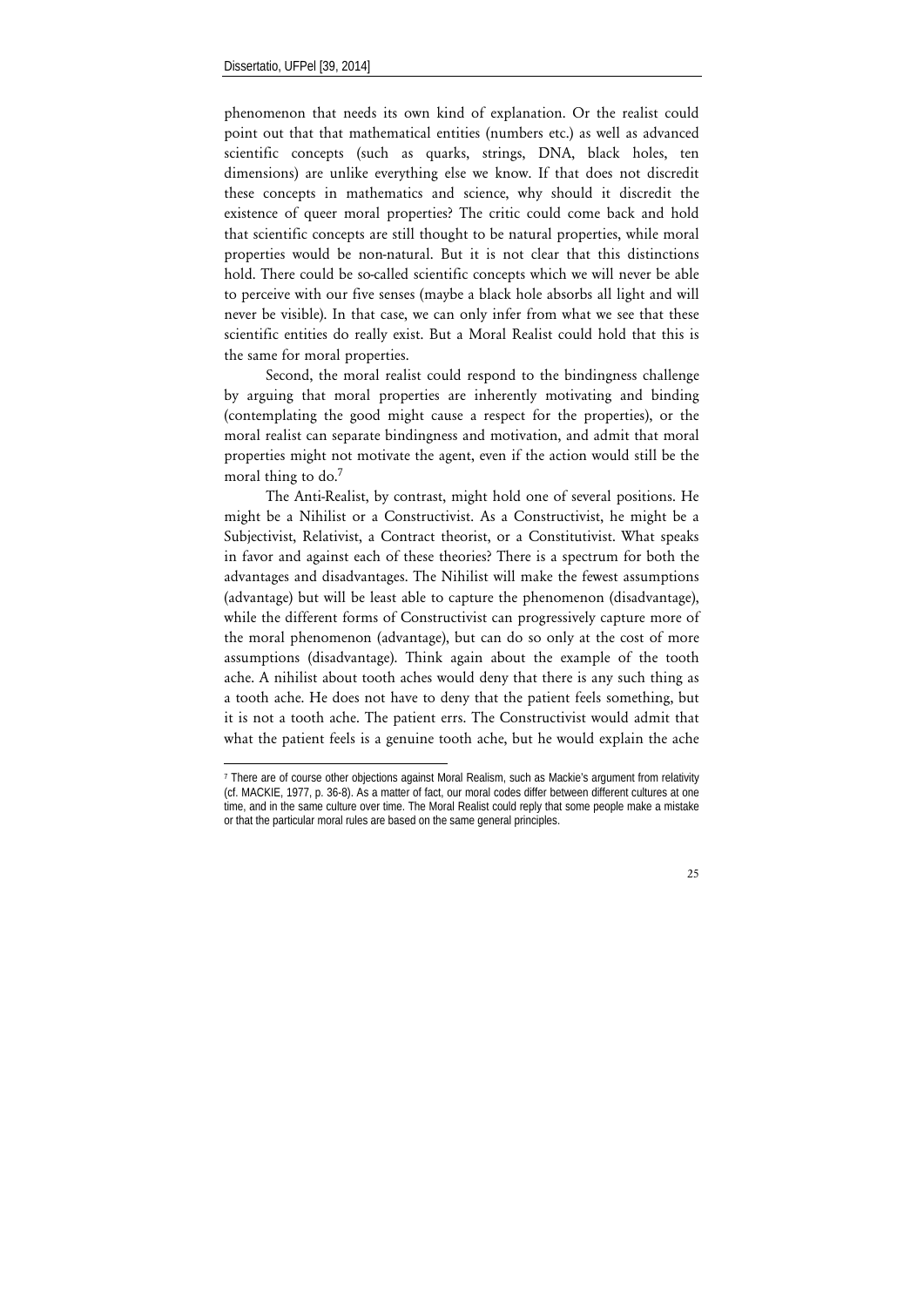1

phenomenon that needs its own kind of explanation. Or the realist could point out that that mathematical entities (numbers etc.) as well as advanced scientific concepts (such as quarks, strings, DNA, black holes, ten dimensions) are unlike everything else we know. If that does not discredit these concepts in mathematics and science, why should it discredit the existence of queer moral properties? The critic could come back and hold that scientific concepts are still thought to be natural properties, while moral properties would be non-natural. But it is not clear that this distinctions hold. There could be so-called scientific concepts which we will never be able to perceive with our five senses (maybe a black hole absorbs all light and will never be visible). In that case, we can only infer from what we see that these scientific entities do really exist. But a Moral Realist could hold that this is the same for moral properties.

Second, the moral realist could respond to the bindingness challenge by arguing that moral properties are inherently motivating and binding (contemplating the good might cause a respect for the properties), or the moral realist can separate bindingness and motivation, and admit that moral properties might not motivate the agent, even if the action would still be the moral thing to do.7

The Anti-Realist, by contrast, might hold one of several positions. He might be a Nihilist or a Constructivist. As a Constructivist, he might be a Subjectivist, Relativist, a Contract theorist, or a Constitutivist. What speaks in favor and against each of these theories? There is a spectrum for both the advantages and disadvantages. The Nihilist will make the fewest assumptions (advantage) but will be least able to capture the phenomenon (disadvantage), while the different forms of Constructivist can progressively capture more of the moral phenomenon (advantage), but can do so only at the cost of more assumptions (disadvantage). Think again about the example of the tooth ache. A nihilist about tooth aches would deny that there is any such thing as a tooth ache. He does not have to deny that the patient feels something, but it is not a tooth ache. The patient errs. The Constructivist would admit that what the patient feels is a genuine tooth ache, but he would explain the ache

<sup>7</sup> There are of course other objections against Moral Realism, such as Mackie's argument from relativity (cf. MACKIE, 1977, p. 36-8). As a matter of fact, our moral codes differ between different cultures at one time, and in the same culture over time. The Moral Realist could reply that some people make a mistake or that the particular moral rules are based on the same general principles.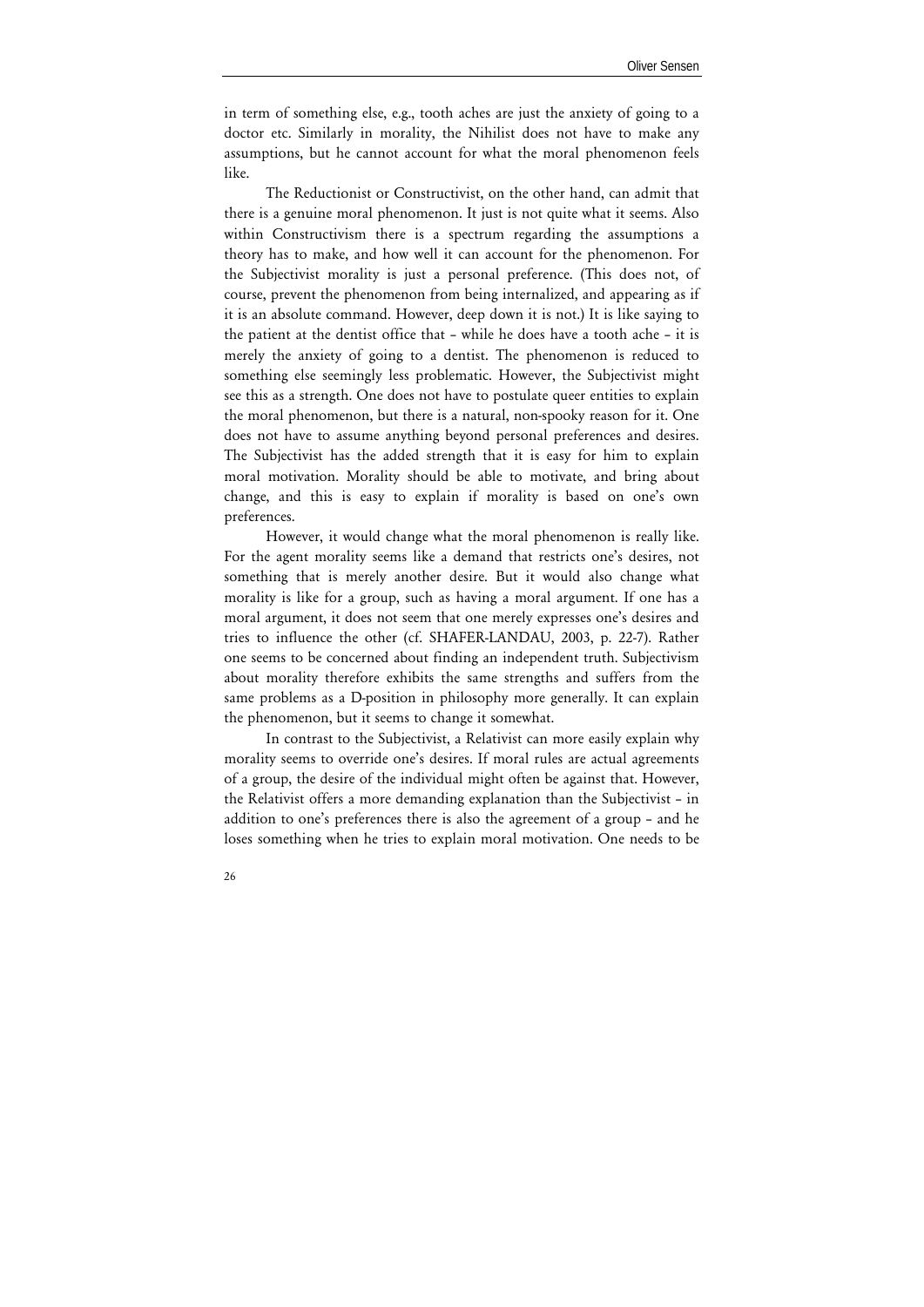in term of something else, e.g., tooth aches are just the anxiety of going to a doctor etc. Similarly in morality, the Nihilist does not have to make any assumptions, but he cannot account for what the moral phenomenon feels like.

The Reductionist or Constructivist, on the other hand, can admit that there is a genuine moral phenomenon. It just is not quite what it seems. Also within Constructivism there is a spectrum regarding the assumptions a theory has to make, and how well it can account for the phenomenon. For the Subjectivist morality is just a personal preference. (This does not, of course, prevent the phenomenon from being internalized, and appearing as if it is an absolute command. However, deep down it is not.) It is like saying to the patient at the dentist office that – while he does have a tooth ache – it is merely the anxiety of going to a dentist. The phenomenon is reduced to something else seemingly less problematic. However, the Subjectivist might see this as a strength. One does not have to postulate queer entities to explain the moral phenomenon, but there is a natural, non-spooky reason for it. One does not have to assume anything beyond personal preferences and desires. The Subjectivist has the added strength that it is easy for him to explain moral motivation. Morality should be able to motivate, and bring about change, and this is easy to explain if morality is based on one's own preferences.

However, it would change what the moral phenomenon is really like. For the agent morality seems like a demand that restricts one's desires, not something that is merely another desire. But it would also change what morality is like for a group, such as having a moral argument. If one has a moral argument, it does not seem that one merely expresses one's desires and tries to influence the other (cf. SHAFER-LANDAU, 2003, p. 22-7). Rather one seems to be concerned about finding an independent truth. Subjectivism about morality therefore exhibits the same strengths and suffers from the same problems as a D-position in philosophy more generally. It can explain the phenomenon, but it seems to change it somewhat.

In contrast to the Subjectivist, a Relativist can more easily explain why morality seems to override one's desires. If moral rules are actual agreements of a group, the desire of the individual might often be against that. However, the Relativist offers a more demanding explanation than the Subjectivist – in addition to one's preferences there is also the agreement of a group – and he loses something when he tries to explain moral motivation. One needs to be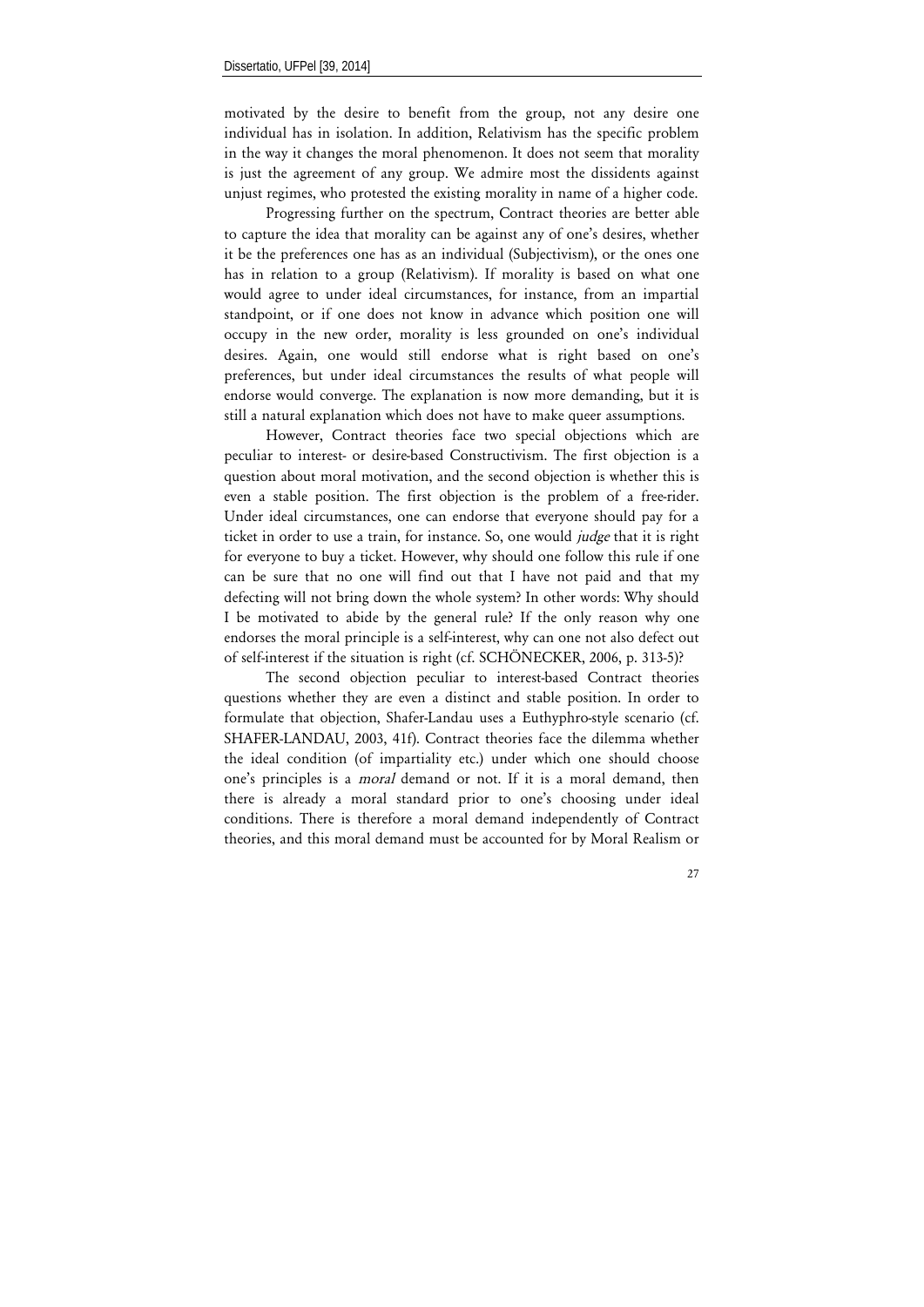motivated by the desire to benefit from the group, not any desire one individual has in isolation. In addition, Relativism has the specific problem in the way it changes the moral phenomenon. It does not seem that morality is just the agreement of any group. We admire most the dissidents against unjust regimes, who protested the existing morality in name of a higher code.

Progressing further on the spectrum, Contract theories are better able to capture the idea that morality can be against any of one's desires, whether it be the preferences one has as an individual (Subjectivism), or the ones one has in relation to a group (Relativism). If morality is based on what one would agree to under ideal circumstances, for instance, from an impartial standpoint, or if one does not know in advance which position one will occupy in the new order, morality is less grounded on one's individual desires. Again, one would still endorse what is right based on one's preferences, but under ideal circumstances the results of what people will endorse would converge. The explanation is now more demanding, but it is still a natural explanation which does not have to make queer assumptions.

However, Contract theories face two special objections which are peculiar to interest- or desire-based Constructivism. The first objection is a question about moral motivation, and the second objection is whether this is even a stable position. The first objection is the problem of a free-rider. Under ideal circumstances, one can endorse that everyone should pay for a ticket in order to use a train, for instance. So, one would *judge* that it is right for everyone to buy a ticket. However, why should one follow this rule if one can be sure that no one will find out that I have not paid and that my defecting will not bring down the whole system? In other words: Why should I be motivated to abide by the general rule? If the only reason why one endorses the moral principle is a self-interest, why can one not also defect out of self-interest if the situation is right (cf. SCHÖNECKER, 2006, p. 313-5)?

The second objection peculiar to interest-based Contract theories questions whether they are even a distinct and stable position. In order to formulate that objection, Shafer-Landau uses a Euthyphro-style scenario (cf. SHAFER-LANDAU, 2003, 41f). Contract theories face the dilemma whether the ideal condition (of impartiality etc.) under which one should choose one's principles is a *moral* demand or not. If it is a moral demand, then there is already a moral standard prior to one's choosing under ideal conditions. There is therefore a moral demand independently of Contract theories, and this moral demand must be accounted for by Moral Realism or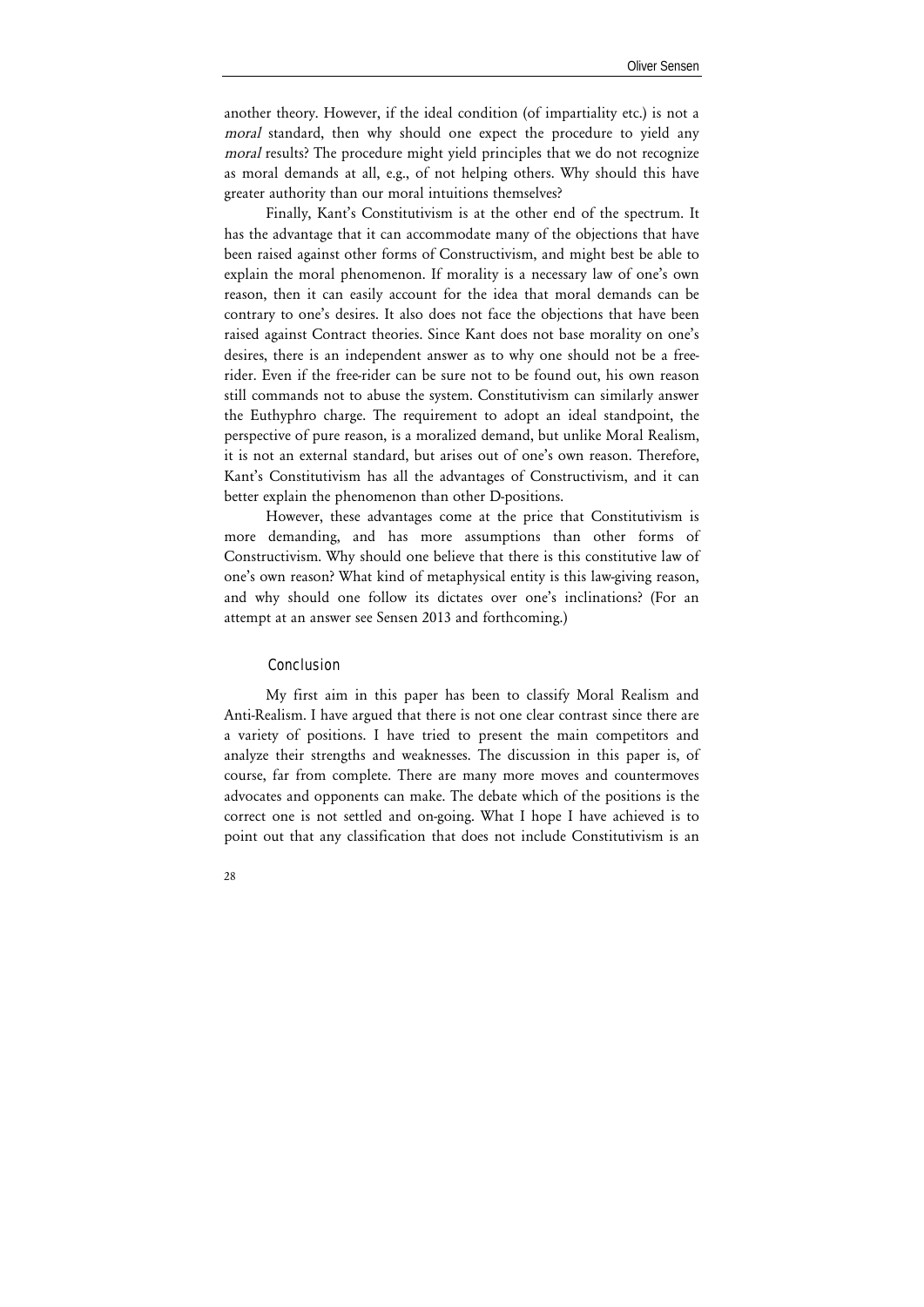another theory. However, if the ideal condition (of impartiality etc.) is not a *moral* standard, then why should one expect the procedure to yield any *moral* results? The procedure might yield principles that we do not recognize as moral demands at all, e.g., of not helping others. Why should this have greater authority than our moral intuitions themselves?

Finally, Kant's Constitutivism is at the other end of the spectrum. It has the advantage that it can accommodate many of the objections that have been raised against other forms of Constructivism, and might best be able to explain the moral phenomenon. If morality is a necessary law of one's own reason, then it can easily account for the idea that moral demands can be contrary to one's desires. It also does not face the objections that have been raised against Contract theories. Since Kant does not base morality on one's desires, there is an independent answer as to why one should not be a freerider. Even if the free-rider can be sure not to be found out, his own reason still commands not to abuse the system. Constitutivism can similarly answer the Euthyphro charge. The requirement to adopt an ideal standpoint, the perspective of pure reason, is a moralized demand, but unlike Moral Realism, it is not an external standard, but arises out of one's own reason. Therefore, Kant's Constitutivism has all the advantages of Constructivism, and it can better explain the phenomenon than other D-positions.

However, these advantages come at the price that Constitutivism is more demanding, and has more assumptions than other forms of Constructivism. Why should one believe that there is this constitutive law of one's own reason? What kind of metaphysical entity is this law-giving reason, and why should one follow its dictates over one's inclinations? (For an attempt at an answer see Sensen 2013 and forthcoming.)

## Conclusion

My first aim in this paper has been to classify Moral Realism and Anti-Realism. I have argued that there is not one clear contrast since there are a variety of positions. I have tried to present the main competitors and analyze their strengths and weaknesses. The discussion in this paper is, of course, far from complete. There are many more moves and countermoves advocates and opponents can make. The debate which of the positions is the correct one is not settled and on-going. What I hope I have achieved is to point out that any classification that does not include Constitutivism is an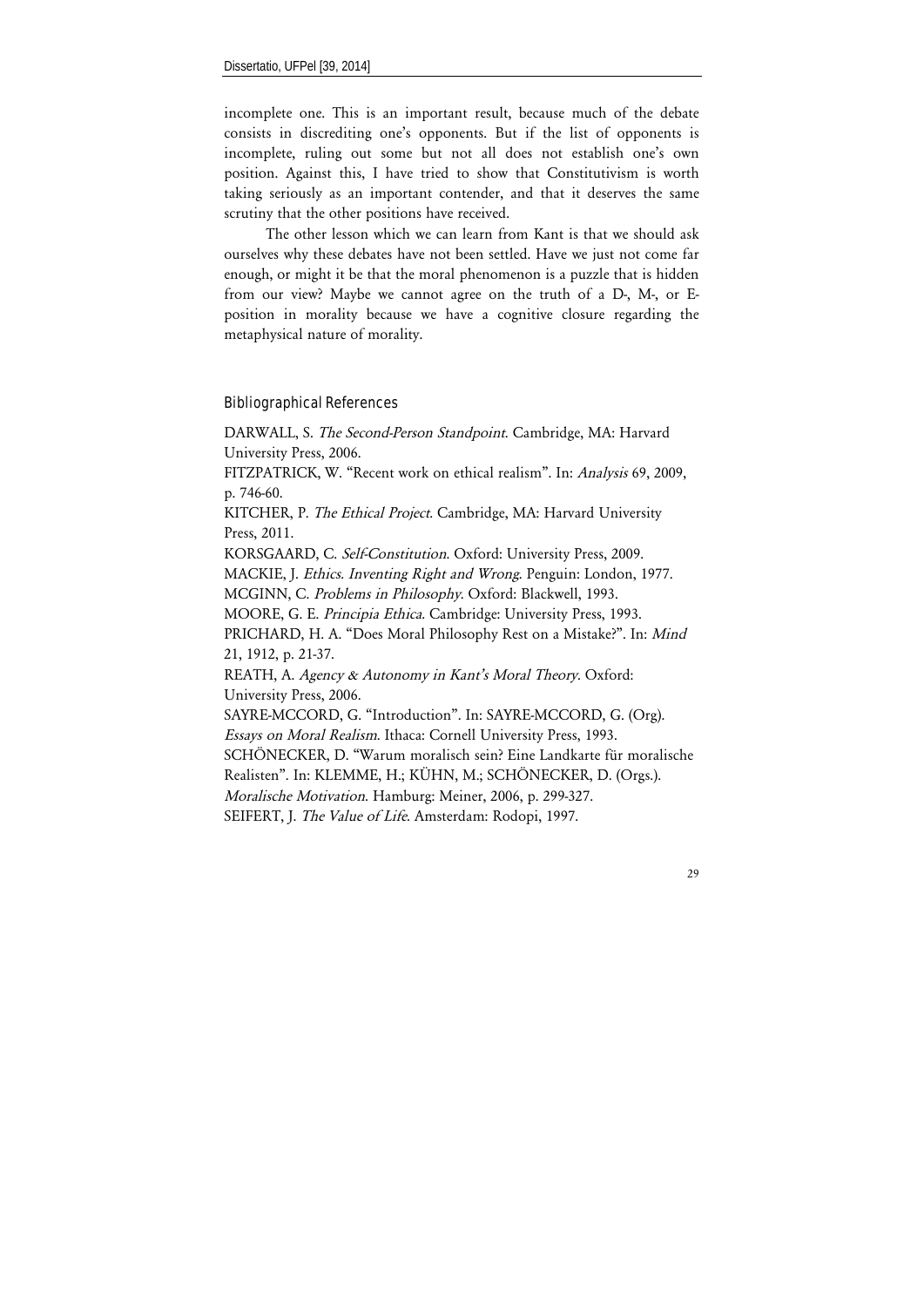incomplete one. This is an important result, because much of the debate consists in discrediting one's opponents. But if the list of opponents is incomplete, ruling out some but not all does not establish one's own position. Against this, I have tried to show that Constitutivism is worth taking seriously as an important contender, and that it deserves the same scrutiny that the other positions have received.

The other lesson which we can learn from Kant is that we should ask ourselves why these debates have not been settled. Have we just not come far enough, or might it be that the moral phenomenon is a puzzle that is hidden from our view? Maybe we cannot agree on the truth of a D-, M-, or Eposition in morality because we have a cognitive closure regarding the metaphysical nature of morality.

## Bibliographical References

DARWALL, S. *The Second-Person Standpoint*. Cambridge, MA: Harvard University Press, 2006.

FITZPATRICK, W. "Recent work on ethical realism". In: *Analysis* 69, 2009, p. 746-60.

KITCHER, P. *The Ethical Project*. Cambridge, MA: Harvard University Press, 2011.

KORSGAARD, C. *Self-Constitution*. Oxford: University Press, 2009. MACKIE, J. *Ethics. Inventing Right and Wrong*. Penguin: London, 1977. MCGINN, C. *Problems in Philosophy*. Oxford: Blackwell, 1993. MOORE, G. E. *Principia Ethica*. Cambridge: University Press, 1993. PRICHARD, H. A. "Does Moral Philosophy Rest on a Mistake?". In: *Mind*  21, 1912, p. 21-37. REATH, A. *Agency & Autonomy in Kant's Moral Theory*. Oxford:

University Press, 2006.

SAYRE-MCCORD, G. "Introduction". In: SAYRE-MCCORD, G. (Org). *Essays on Moral Realism*. Ithaca: Cornell University Press, 1993.

SCHÖNECKER, D. "Warum moralisch sein? Eine Landkarte für moralische Realisten". In: KLEMME, H.; KÜHN, M.; SCHÖNECKER, D. (Orgs.).

*Moralische Motivation*. Hamburg: Meiner, 2006, p. 299-327.

SEIFERT, J. *The Value of Life*. Amsterdam: Rodopi, 1997.